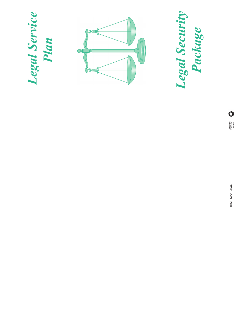

OF STREET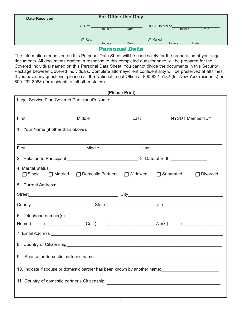| <b>Date Received:</b> | <b>For Office Use Only</b> |                 |                                   |                                                         |
|-----------------------|----------------------------|-----------------|-----------------------------------|---------------------------------------------------------|
|                       | Q. Rev.                    | <b>Initials</b> | <b>Date</b>                       | <b>HCP/POA Mailed</b><br><b>Initials</b><br><b>Date</b> |
|                       | W. Rev.                    | <b>Initials</b> | Date                              | W. Mailed<br><b>Initials</b><br>Date                    |
|                       |                            |                 | <b>Bester Corporation Control</b> |                                                         |

### *Personal Data*

The information requested on this Personal Data Sheet will be used solely for the preparation of your legal documents. All documents drafted in response to this completed questionnaire will be prepared for the Covered Individual named on this Personal Data Sheet. You cannot divide the documents in this Security Package between Covered Individuals. Complete attorney/client confidentiality will be preserved at all times. If you have any questions, please call the National Legal Office at 800-832-5182 (for New York residents) or 800-292-8063 (for residents of all other states).

|                                                                                                                                                                                                                                      |                                         | (Please Print) |                  |                  |  |
|--------------------------------------------------------------------------------------------------------------------------------------------------------------------------------------------------------------------------------------|-----------------------------------------|----------------|------------------|------------------|--|
| Legal Service Plan Covered Participant's Name:                                                                                                                                                                                       |                                         |                |                  |                  |  |
|                                                                                                                                                                                                                                      |                                         |                |                  |                  |  |
| First                                                                                                                                                                                                                                | Middle                                  | Last           |                  | NYSUT Member ID# |  |
| 1. Your Name (if other than above):                                                                                                                                                                                                  |                                         |                |                  |                  |  |
|                                                                                                                                                                                                                                      |                                         |                |                  |                  |  |
| First                                                                                                                                                                                                                                | Middle                                  | Last           |                  |                  |  |
|                                                                                                                                                                                                                                      |                                         |                |                  |                  |  |
| 4. Marital Status:<br>$\Box$ Single                                                                                                                                                                                                  | □ Married □ Domestic Partners □ Widowed |                | $\Box$ Separated | <b>Divorced</b>  |  |
| 5. Current Address:                                                                                                                                                                                                                  |                                         |                |                  |                  |  |
|                                                                                                                                                                                                                                      |                                         |                |                  |                  |  |
|                                                                                                                                                                                                                                      |                                         |                |                  |                  |  |
| 6. Telephone number(s):                                                                                                                                                                                                              |                                         |                |                  |                  |  |
|                                                                                                                                                                                                                                      |                                         |                |                  |                  |  |
| 7. Email Address <b>Contract Contract Contract Contract Contract Contract Contract Contract Contract Contract Contract Contract Contract Contract Contract Contract Contract Contract Contract Contract Contract Contract Contra</b> |                                         |                |                  |                  |  |
|                                                                                                                                                                                                                                      |                                         |                |                  |                  |  |
| 9. Spouse or domestic partner's name:                                                                                                                                                                                                |                                         |                |                  |                  |  |
| 10. Indicate if spouse or domestic partner has been known by another name:                                                                                                                                                           |                                         |                |                  |                  |  |
| 11. Country of domestic partner's Citizenship:<br><u> 1980 - Johann John Stein, marwolaethau (b. 1980)</u>                                                                                                                           |                                         |                |                  |                  |  |
|                                                                                                                                                                                                                                      |                                         |                |                  |                  |  |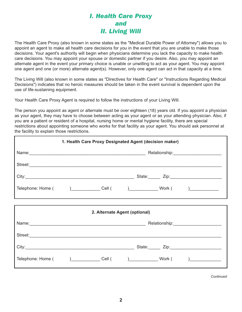## *I. Health Care Proxy and II. Living Will*

The Health Care Proxy (also known in some states as the "Medical Durable Power of Attorney") allows you to appoint an agent to make all health care decisions for you in the event that you are unable to make those decisions. Your agent's authority will begin when physicians determine you lack the capacity to make health care decisions. You may appoint your spouse or domestic partner if you desire. Also, you may appoint an alternate agent in the event your primary choice is unable or unwilling to act as your agent. You may appoint one agent and one (or more) alternate agent(s). However, only one agent can act in that capacity at a time.

The Living Will (also known in some states as "Directives for Health Care" or "Instructions Regarding Medical Decisions") indicates that no heroic measures should be taken in the event survival is dependent upon the use of life-sustaining equipment.

Your Health Care Proxy Agent is required to follow the instructions of your Living Will.

The person you appoint as agent or alternate must be over eighteen (18) years old. If you appoint a physician as your agent, they may have to choose between acting as your agent or as your attending physician. Also, if you are a patient or resident of a hospital, nursing home or mental hygiene facility, there are special restrictions about appointing someone who works for that facility as your agent. You should ask personnel at the facility to explain those restrictions.

| 1. Health Care Proxy Designated Agent (decision maker)                                                                                                                                                                         |  |  |                               |  |  |
|--------------------------------------------------------------------------------------------------------------------------------------------------------------------------------------------------------------------------------|--|--|-------------------------------|--|--|
|                                                                                                                                                                                                                                |  |  |                               |  |  |
|                                                                                                                                                                                                                                |  |  |                               |  |  |
|                                                                                                                                                                                                                                |  |  |                               |  |  |
| Telephone: Home ( ) ____________________Cell ( ) _______________________________ Work ( ) _______________                                                                                                                      |  |  |                               |  |  |
|                                                                                                                                                                                                                                |  |  |                               |  |  |
|                                                                                                                                                                                                                                |  |  | 2. Alternate Agent (optional) |  |  |
| Name: Name: Name: Name: Name: Name: Name: Name: Name: Name: Name: Name: Name: Name: Name: Name: Name: Name: Name: Name: Name: Name: Name: Name: Name: Name: Name: Name: Name: Name: Name: Name: Name: Name: Name: Name: Name:  |  |  |                               |  |  |
| Street: New York Street Street Street Street Street Street Street Street Street Street Street Street Street Street Street Street Street Street Street Street Street Street Street Street Street Street Street Street Street St |  |  |                               |  |  |
|                                                                                                                                                                                                                                |  |  |                               |  |  |
| Telephone: Home ( ) Cell ( ) Work ( )                                                                                                                                                                                          |  |  |                               |  |  |

*Continued*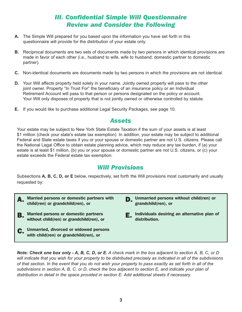## *III. Confidential Simple Will Questionnaire Review and Consider the Following*

- **A.** The Simple Will prepared for you based upon the information you have set forth in this questionnaire will provide for the distribution of your estate only.
- **B.** Reciprocal documents are two sets of documents made by two persons in which identical provisions are made in favor of each other (i.e., husband to wife, wife to husband; domestic partner to domestic partner).
- **C.** Non-identical documents are documents made by two persons in which the provisions are not identical.
- **D.** Your Will affects property held solely in your name. Jointly owned property will pass to the other joint owner. Property "In Trust For" the beneficiary of an insurance policy or an Individual Retirement Account will pass to that person or persons designated on the policy or account. Your Will only disposes of property that is not jointly owned or otherwise controlled by statute.
- **E.** If you would like to purchase additional Legal Security Packages, see page 10.

#### *Assets*

Your estate may be subject to New York State Estate Taxation if the sum of your assets is at least \$1 million (check your state's estate tax exemption). In addition, your estate may be subject to additional Federal and State estate taxes if you or your spouse or domestic partner are not U.S. citizens. Please call the National Legal Office to obtain estate planning advice, which may reduce any tax burden, if (a) your estate is at least \$1 million, (b) you or your spouse or domestic partner are not U.S. citizens, or (c) your estate exceeds the Federal estate tax exemption.

## *Will Provisions*

Subsections **A, B, C, D, or E** below, respectively, set forth the Will provisions most customarily and usually requested by:

- A. Married persons or domestic partners with child(ren) or grandchild(ren), or
- **B.** Married persons or domestic partners without child(ren) or grandchild(ren), or
- C. Unmarried, divorced or widowed persons with child(ren) or grandchild(ren), or
- **D.** Unmarried persons without child(ren) or grandchild(ren), or
- E. Individuals desiring an alternative plan of distribution.

*Note: Check one box only - A, B, C, D, or E. A check mark in the box adjacent to section A, B, C, or D will indicate that you wish for your property to be distributed precisely as indicated in all of the subdivisions of that section. In the event that you do not wish your property to pass exactly as set forth in all of the subdivisions in section A, B, C, or D, check the box adjacent to section E, and indicate your plan of distribution in detail in the space provided in section E. Add additional sheets if necessary.*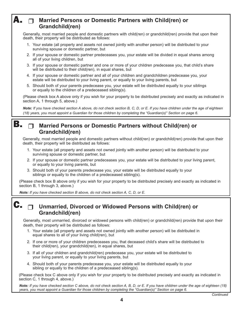#### A. **Married Persons or Domestic Partners with Child(ren) or**   $\Box$ **Grandchild(ren)**

Generally, most married people and domestic partners with child(ren) or grandchild(ren) provide that upon their death, their property will be distributed as follows:

- 1. Your estate (all property and assets not owned jointly with another person) will be distributed to your surviving spouse or domestic partner, but
- 2. If your spouse or domestic partner predeceases you, your estate will be divided in equal shares among all of your living children, but
- 3. If your spouse or domestic partner and one or more of your children predecease you, that child's share will be distributed to their child(ren), in equal shares, but
- 4. If your spouse or domestic partner and all of your children and grandchildren predecease you, your estate will be distributed to your living parent, or equally to your living parents, but
- 5. Should both of your parents predecease you, your estate will be distributed equally to your siblings or equally to the children of a predeceased sibling(s).

(Please check box A above only if you wish for your property to be distributed precisely and exactly as indicated in section A, 1 through 5, above.)

*Note: If you have checked section A above, do not check section B, C, D, or E. If you have children under the age of eighteen (18) years, you must appoint a Guardian for those children by completing the "Guardian(s)" Section on page 6.*

#### **Married Persons or Domestic Partners without Child(ren) or Grandchild(ren)** B.

Generally, most married people and domestic partners without child(ren) or grandchild(ren) provide that upon their death, their property will be distributed as follows:

- 1. Your estate (all property and assets not owned jointly with another person) will be distributed to your surviving spouse or domestic partner, but
- 2. If your spouse or domestic partner predeceases you, your estate will be distributed to your living parent, or equally to your living parents, but
- 3. Should both of your parents predecease you, your estate will be distributed equally to your siblings or equally to the children of a predeceased sibling(s).

 (Please check box B above only if you wish for your property to be distributed precisely and exactly as indicated in section B, 1 through 3, above.)

*Note: If you have checked section B above, do not check section A, C, D, or E.*

C.

### **Unmarried, Divorced or Widowed Persons with Child(ren) or Grandchild(ren)**

Generally, most unmarried, divorced or widowed persons with child(ren) or grandchild(ren) provide that upon their death, their property will be distributed as follows:

- 1. Your estate (all property and assets not owned jointly with another person) will be distributed in equal shares to all of your living child(ren), but
- 2. If one or more of your children predeceases you, that deceased child's share will be distributed to their child(ren), your grandchild(ren), in equal shares, but
- 3. If all of your children and grandchild(ren) predecease you, your estate will be distributed to your living parent, or equally to your living parents, but
- 4. Should both of your parents predecease you, your estate will be distributed equally to your sibling or equally to the children of a predeceased sibling(s).

 (Please check box C above only if you wish for your property to be distributed precisely and exactly as indicated in section C, 1 through 4, above.)

*Note: If you have checked section C above, do not check section A, B, D, or E. If you have children under the age of eighteen (18) years, you must appoint a Guardian for those children by completing the "Guardian(s)" Section on page 6.*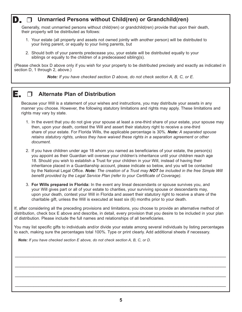#### **Unmarried Persons without Child(ren) or Grandchild(ren)** D.

Generally, most unmarried persons without child(ren) or grandchild(ren) provide that upon their death, their property will be distributed as follows:

- 1. Your estate (all property and assets not owned jointly with another person) will be distributed to your living parent, or equally to your living parents, but
- 2. Should both of your parents predecease you, your estate will be distributed equally to your siblings or equally to the children of a predeceased sibling(s).

(Please check box D above only if you wish for your property to be distributed precisely and exactly as indicated in section D, 1 through 2, above.)

*Note: If you have checked section D above, do not check section A, B, C, or E.*

#### E.

## **Alternate Plan of Distribution**

Because your Will is a statement of your wishes and instructions, you may distribute your assets in any manner you choose. However, the following statutory limitations and rights may apply. These limitations and rights may vary by state.

- 1. In the event that you do not give your spouse at least a one-third share of your estate, your spouse may then, upon your death, contest the Will and assert their statutory right to receive a one-third share of your estate. For Florida Wills, the applicable percentage is 30%. *Note: A separated spouse retains statutory rights, unless they have waived these rights in a separation agreement or other document.*
- 2. If you have children under age 18 whom you named as beneficiaries of your estate, the person(s) you appoint as their Guardian will oversee your children's inheritance until your children reach age 18. Should you wish to establish a Trust for your children in your Will, instead of having their inheritance placed in a Guardianship account, please indicate so below, and you will be contacted by the National Legal Office. *Note: The creation of a Trust may NOT be included in the free Simple Will benefit provided by the Legal Service Plan (refer to your Certificate of Coverage).*
- 3. **For Wills prepared in Florida:** In the event any lineal descendants or spouse survives you, and your Will gives part or all of your estate to charities, your surviving spouse or descendants may, upon your death, contest your Will in Florida and assert their statutory right to receive a share of the charitable gift, unless the Will is executed at least six (6) months prior to your death.

If, after considering all the preceding provisions and limitations, you choose to provide an alternative method of distribution, check box E above and describe, in detail, every provision that you desire to be included in your plan of distribution. Please include the full names and relationships of all beneficiaries.

You may list specific gifts to individuals and/or divide your estate among several individuals by listing percentages to each, making sure the percentages total 100%. Type or print clearly. Add additional sheets if necessary.

\_\_\_\_\_\_\_\_\_\_\_\_\_\_\_\_\_\_\_\_\_\_\_\_\_\_\_\_\_\_\_\_\_\_\_\_\_\_\_\_\_\_\_\_\_\_\_\_\_\_\_\_\_\_\_\_\_\_\_\_\_\_\_\_\_\_\_\_\_\_\_\_\_\_\_\_\_\_\_\_

\_\_\_\_\_\_\_\_\_\_\_\_\_\_\_\_\_\_\_\_\_\_\_\_\_\_\_\_\_\_\_\_\_\_\_\_\_\_\_\_\_\_\_\_\_\_\_\_\_\_\_\_\_\_\_\_\_\_\_\_\_\_\_\_\_\_\_\_\_\_\_\_\_\_\_\_\_\_\_\_

\_\_\_\_\_\_\_\_\_\_\_\_\_\_\_\_\_\_\_\_\_\_\_\_\_\_\_\_\_\_\_\_\_\_\_\_\_\_\_\_\_\_\_\_\_\_\_\_\_\_\_\_\_\_\_\_\_\_\_\_\_\_\_\_\_\_\_\_\_\_\_\_\_\_\_\_\_\_\_\_

\_\_\_\_\_\_\_\_\_\_\_\_\_\_\_\_\_\_\_\_\_\_\_\_\_\_\_\_\_\_\_\_\_\_\_\_\_\_\_\_\_\_\_\_\_\_\_\_\_\_\_\_\_\_\_\_\_\_\_\_\_\_\_\_\_\_\_\_\_\_\_\_\_\_\_\_\_\_\_\_

*Note: If you have checked section E above, do not check section A, B, C, or D.*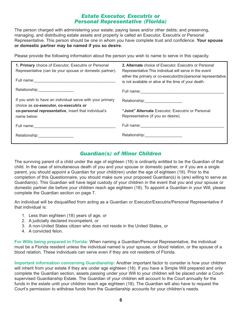#### *Estate Executor, Executrix or Personal Representative (Florida)*

The person charged with administering your estate; paying taxes and/or other debts; and preserving, managing, and distributing estate assets and property is called an Executor, Executrix or Personal Representative. This person should be one in whom you have complete trust and confidence. **Your spouse or domestic partner may be named if you so desire.** 

Please provide the following information about the person you wish to name to serve in this capacity.

| 1. Primary choice of Executor, Executrix or Personal<br>Representative (can be your spouse or domestic partner). | 2. Alternate choice of Executor, Executrix or Personal<br>Representative. This individual will serve in the event<br>either the primary or co-executor(trix)/personal representative<br>is not available or alive at the time of your death. |
|------------------------------------------------------------------------------------------------------------------|----------------------------------------------------------------------------------------------------------------------------------------------------------------------------------------------------------------------------------------------|
|                                                                                                                  |                                                                                                                                                                                                                                              |
| If you wish to have an individual serve with your primary<br>choice as co-executor, co-executrix or              |                                                                                                                                                                                                                                              |
| co-personal representative, insert that individual's<br>name below:                                              | "Joint" Alternate Executor, Executrix or Personal<br>Representative (if you so desire).                                                                                                                                                      |
|                                                                                                                  |                                                                                                                                                                                                                                              |
|                                                                                                                  |                                                                                                                                                                                                                                              |

#### *Guardian(s) of Minor Children*

The surviving parent of a child under the age of eighteen (18) is ordinarily entitled to be the Guardian of that child. In the case of simultaneous death of you and your spouse or domestic partner, or if you are a single parent, you should appoint a Guardian for your child(ren) under the age of eighteen (18). Prior to the completion of this Questionnaire, you should make sure your proposed Guardian(s) is (are) willing to serve as Guardian(s). This Guardian will have legal custody of your children in the event that you and your spouse or domestic partner die before your children reach age eighteen (18). To appoint a Guardian in your Will, please complete the Guardian section on page 7.

An individual will be disqualified from acting as a Guardian or Executor/Executrix/Personal Representative if that individual is:

- 1. Less than eighteen (18) years of age, or
- 2. A judicially declared incompetent, or
- 3. A non-United States citizen who does not reside in the United States, or
- 4. A convicted felon.

**For Wills being prepared in Florida:** When naming a Guardian/Personal Representative, the individual must be a Florida resident unless the individual named is your spouse, or blood relation, or the spouse of a blood relation. These individuals can serve even if they are not residents of Florida.

**Important information concerning Guardianship:** Another important factor to consider is how your children will inherit from your estate if they are under age eighteen (18). If you have a Simple Will prepared and only complete the Guardian section, assets passing under your Will to your children will be placed under a Courtsupervised Guardianship Estate. The Guardian of your children will account to the Court annually for the funds in the estate until your children reach age eighteen (18). The Guardian will also have to request the Court's permission to withdraw funds from the Guardianship accounts for your children's needs.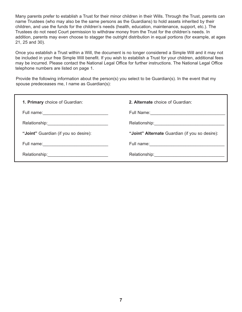Many parents prefer to establish a Trust for their minor children in their Wills. Through the Trust, parents can name Trustees (who may also be the same persons as the Guardians) to hold assets inherited by their children, and use the funds for the children's needs (health, education, maintenance, support, etc.). The Trustees do not need Court permission to withdraw money from the Trust for the children's needs. In addition, parents may even choose to stagger the outright distribution in equal portions (for example, at ages 21, 25 and 30).

Once you establish a Trust within a Will, the document is no longer considered a Simple Will and it may not be included in your free Simple Will benefit. If you wish to establish a Trust for your children, additional fees may be incurred. Please contact the National Legal Office for further instructions. The National Legal Office telephone numbers are listed on page 1.

Provide the following information about the person(s) you select to be Guardian(s). In the event that my spouse predeceases me, I name as Guardian(s):

| 1. Primary choice of Guardian:       | 2. Alternate choice of Guardian:                   |
|--------------------------------------|----------------------------------------------------|
|                                      | Full Name: <u>Contract Communication</u>           |
|                                      | Relationship:<br><u> </u>                          |
| "Joint" Guardian (if you so desire): | "Joint" Alternate Guardian (if you so desire):     |
|                                      | Full name: <u>________________________________</u> |
|                                      |                                                    |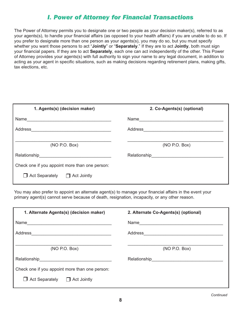## *I. Power of Attorney for Financial Transactions*

The Power of Attorney permits you to designate one or two people as your decision maker(s), referred to as your agents(s), to handle your financial affairs (as opposed to your health affairs) if you are unable to do so. If you prefer to designate more than one person as your agents(s), you may do so, but you must specify whether you want those persons to act "**Jointly**" or "**Separately**." If they are to act **Jointly**, both must sign your financial papers. If they are to act **Separately**, each one can act independently of the other. This Power of Attorney provides your agents(s) with full authority to sign your name to any legal document, in addition to acting as your agent in specific situations, such as making decisions regarding retirement plans, making gifts, tax elections, etc.

| 1. Agents(s) (decision maker)                                                                                                                                                                                                                   | 2. Co-Agents(s) (optional)    |
|-------------------------------------------------------------------------------------------------------------------------------------------------------------------------------------------------------------------------------------------------|-------------------------------|
|                                                                                                                                                                                                                                                 |                               |
| Address<br><u> 1980 - Andrea Aonaich an Dùbhlachd an Dùbhlachd an Dùbhlachd an Dùbhlachd an Dùbhlachd an Dùbhlachd an Dùbhlachd an Dùbhlachd an Dùbhlachd an Dùbhlachd an Dùbhlachd an Dùbhlachd an Dùbhlachd an Dùbhlachd an Dùbhlachd an </u> | Address _____________________ |
| (NO P.O. Box)                                                                                                                                                                                                                                   | (NO P.O. Box)                 |
| Relationship<br><u>Relationship</u>                                                                                                                                                                                                             |                               |
| Check one if you appoint more than one person:                                                                                                                                                                                                  |                               |
| $\Box$ Act Separately $\Box$ Act Jointly                                                                                                                                                                                                        |                               |

You may also prefer to appoint an alternate agent(s) to manage your financial affairs in the event your primary agent(s) cannot serve because of death, resignation, incapacity, or any other reason.

| 1. Alternate Agents(s) (decision maker)                                    | 2. Alternate Co-Agents(s) (optional)               |  |
|----------------------------------------------------------------------------|----------------------------------------------------|--|
| Name<br><u> 1980 - Jan Samuel Barbara, margaret eta idazlea (h. 1980).</u> |                                                    |  |
|                                                                            |                                                    |  |
| (NO P.O. Box)                                                              | (NO P.O. Box)                                      |  |
|                                                                            | Relationship<br><u>___________________________</u> |  |
| Check one if you appoint more than one person:                             |                                                    |  |
| Act Separately $\Box$ Act Jointly                                          |                                                    |  |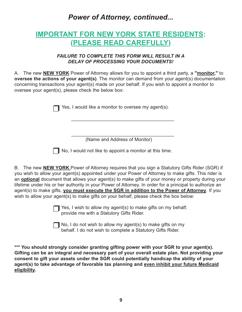*Power of Attorney, continued...*

# **IMPORTANT FOR NEW YORK STATE RESIDENTS: (PLEASE READ CAREFULLY)**

#### *FAILURE TO COMPLETE THIS FORM WILL RESULT IN A DELAY OF PROCESSING YOUR DOCUMENTS!*

A. The new **NEW YORK** Power of Attorney allows for you to appoint a third party, a **"monitor,"** to **oversee the actions of your agent(s)**. The monitor can demand from your agent(s) documentation concerning transactions your agent(s) made on your behalf. If you wish to appoint a monitor to oversee your agent(s), please check the below box:

Yes, I would like a monitor to oversee my agent(s).

\_\_\_\_\_\_\_\_\_\_\_\_\_\_\_\_\_\_\_\_\_\_\_\_\_\_\_\_\_\_\_\_\_\_\_\_\_\_\_ (Name and Address of Monitor)

\_\_\_\_\_\_\_\_\_\_\_\_\_\_\_\_\_\_\_\_\_\_\_\_\_\_\_\_\_\_\_\_\_\_\_\_\_\_\_

 $\Box$  No, I would not like to appoint a monitor at this time.

B. The new **NEW YORK** Power of Attorney requires that you sign a Statutory Gifts Rider (SGR) if you wish to allow your agent(s) appointed under your Power of Attorney to make gifts. This rider is an **optional** document that allows your agent(s) to make gifts of your money or property during your lifetime under his or her authority in your Power of Attorney. In order for a principal to authorize an agent(s) to make gifts, **you must execute the SGR in addition to the Power of Attorney**. If you wish to allow your agent(s) to make gifts on your behalf, please check the box below:

> Yes, I wish to allow my agent(s) to make gifts on my behalf; provide me with a Statutory Gifts Rider.

> No, I do not wish to allow my agent(s) to make gifts on my behalf. I do not wish to complete a Statutory Gifts Rider.

**\*\*\* You should strongly consider granting gifting power with your SGR to your agent(s). Gifting can be an integral and necessary part of your overall estate plan. Not providing your consent to gift your assets under the SGR could potentially handicap the ability of your agent(s) to take advantage of favorable tax planning and even inhibit your future Medicaid eligibility.**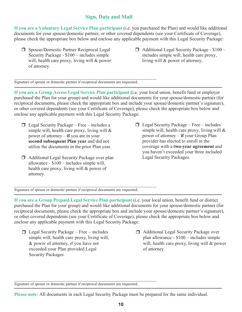## **Sign, Date and Mail**

**If you are a Voluntary Legal Service Plan participant** (i.e. you purchased the Plan) and would like additional documents for your spouse/domestic partner, or other covered dependents (see your Certificate of Coverage), please check the appropriate box below and enclose any applicable payment with this Legal Security Package:

- □ Spouse/Domestic Partner Reciprocal Legal Security Package -  $$100$  - includes simple will, health care proxy, living will & power of attorney.
- $\Box$  Additional Legal Security Package \$100 includes simple will, health care proxy, living will & power of attorney.

Signature of spouse or domestic partner if reciprocal documents are requested.

 $\mathcal{L}_\text{max}$  , and the contract of the contract of the contract of the contract of the contract of the contract of

**If you are a Group Access Legal Service Plan participant** (i.e. your local union, benefit fund or employer purchased the Plan for your group) and would like additional documents for your spouse/domestic partner (for reciprocal documents, please check the appropriate box and include your spouse/domestic partner's signature), or other covered dependents (see your Certificate of Coverage), please check the appropriate box below and enclose any applicable payment with this Legal Security Package:

- $\Box$  Legal Security Package Free includes a simple will, health care proxy, living will & power of attorney **if** you are in your **second subsequent Plan year** and did not utilize the documents in the prior Plan year.
- □ Additional Legal Security Package over plan allowance -  $$100$  - includes simple will, health care proxy, living will & power of attorney.
- simple will, health care proxy, living will  $\&$ power of attorney – **if** your Group Plan provider has elected to enroll in the coverage with a two-year agreement and you haven't exceeded your three included  Legal Security Packages.  $\Box$  Legal Security Package – Free – includes

Signature of spouse or domestic partner if reciprocal documents are requested.

 $\mathcal{L}_\text{max}$  , and the contract of the contract of the contract of the contract of the contract of the contract of

**If you are a Group Prepaid Legal Service Plan participant** (i.e. your local union, benefit fund or district purchased the Plan for your group) and would like additional documents for your spouse/domestic partner (for reciprocal documents, please check the appropriate box and include your spouse/domestic partner's signature), or other covered dependents (see your Certificate of Coverage), please check the appropriate box below and enclose any applicable payment with this Legal Security Package:

- -& power of attorney, if you have not Security Packages. The 100 includes simple will be simple with the simple will, health care proxy, health care proxy,  $\frac{1}{2}$ exceeded your Plan provided Legal
- $\Box$  Legal Security Package Free includes  $\Box$  Additional Legal Security Package over simple will, health care proxy, living will, plan allowance - \$100 - includes simple will, health care proxy, living will & power □ Additional Legal Security Package over plan allowance - \$100 – includes simple of attorney.

Signature of spouse or domestic partner if reciprocal documents are requested.

 $\mathcal{L}_\text{max}$  and the contract of the contract of the contract of the contract of the contract of the contract of

**Please note:** All documents in each Legal Security Package must be prepared for the same individual.